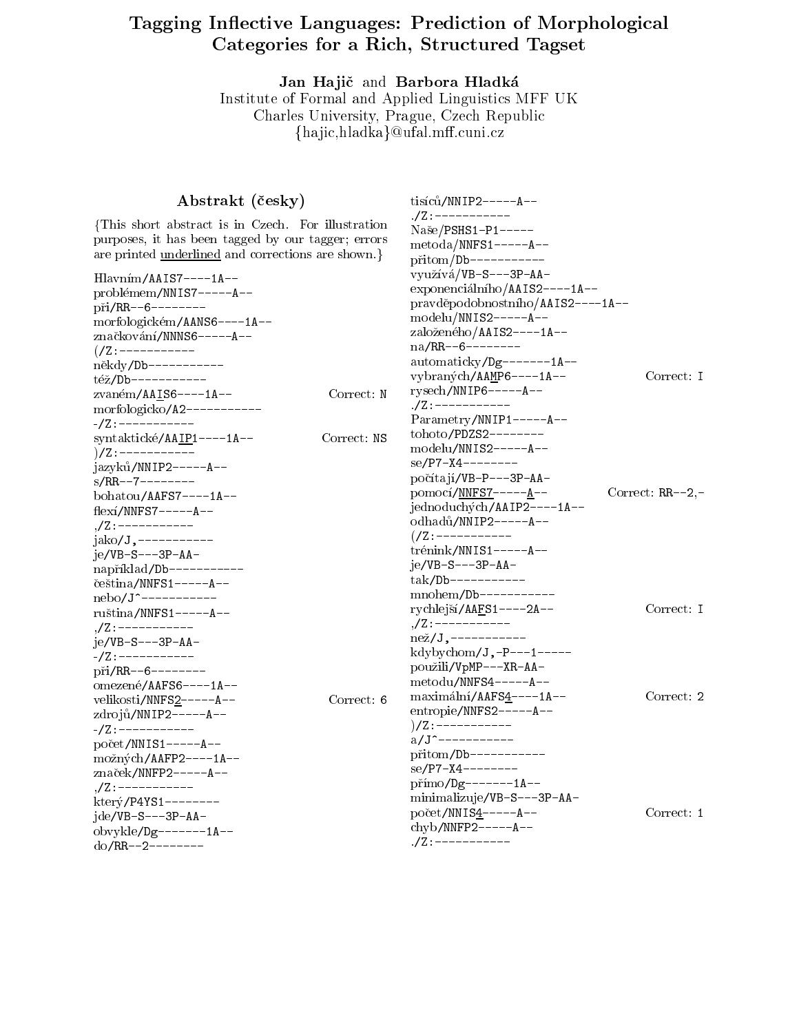# Tagging In
ective Languages: Prediction of Morphological Categories for a Richard Structure Categorie

Jan Hajič and Barbora Hladká Institute of Formal and Applied Linguistics MFF UK Charles University, Prague, Czech Republic fha jic,hladkag@ufal.m.cuni.cz

| Abstrakt (česky)                                                                                                                                                                                                                                                                 |             | $tisic\mathring{u}/NNIP2---A--$                                                                                                                                                                                                                                                                                        |                          |
|----------------------------------------------------------------------------------------------------------------------------------------------------------------------------------------------------------------------------------------------------------------------------------|-------------|------------------------------------------------------------------------------------------------------------------------------------------------------------------------------------------------------------------------------------------------------------------------------------------------------------------------|--------------------------|
| This short abstract is in Czech. For illustration<br>purposes, it has been tagged by our tagger; errors<br>are printed <u>underlined</u> and corrections are shown.                                                                                                              |             | ./Z : -----------<br>$Naše/PSHS1-P1---$<br>$metoda/NNFS1---A--$<br>$\pi$ itom/Db----------                                                                                                                                                                                                                             |                          |
| $H$ lavním/AAIS7----1A--<br>problémem/NNIS7-----A--<br>$pi/RR--6------$<br>morfologickém/AANS6----1A--<br>značkování/NNNS6-----A--<br>$( /Z : --- --- ---$<br>někdy/Db----------<br>též/Db-----------<br>zvaném/AAIS6----1A--<br>morfologicko/A2-----------<br>-/Z : ----------- | Correct: N  | využívá/VB-S---3P-AA-<br>exponenciálního/AAIS2----1A--<br>pravděpodobnostního/AAIS2----1A--<br>$\text{modelu} / \text{NNIS2}$ -----A--<br>založeného/AAIS2----1A--<br>$na/RR--6------$<br>$automatic ky/Dg----1A--$<br>vybraných/AAMP6----1A--<br>$rysech/NNIP6---A--$<br>./Z : -----------<br>Parametry/NNIP1-----A-- | Correct: I               |
| syntaktické/AAIP1----1A--<br>$)/Z$ : -----------<br>jazyků/NNIP2-----A--<br>$s/RR--7------$<br>bohatou/AAFS7----1A--<br>$flexi/NNFS7---A--$<br>$\sqrt{Z}$ : -----------<br>$jako/J,$ -----------                                                                                 | Correct: NS | tohoto/PDZS2--------<br>$\text{modelu}/\text{NNIS2}$ -----A--<br>$se/P7 - X4 - - - - - - - -$<br>počítají/VB-P---3P-AA-<br>$pomoc1/NNFSZ---A--$<br>jednoduchých/AAIP2----1A--<br>odhadů/NNIP2-----A--<br>$\frac{7}{2}$ : -----------                                                                                   | Correct: $RR--2, -$      |
| $ie/VB-S---3P-AA-$<br>například/Db-----------<br>čeština/NNFS1-----A--<br>$nebo/J$ -----------<br>$ruština/NNFS1---A--$<br>,/Z:----------<br>$je/VB-S---3P-AA-$<br>$- / Z$ : -----------<br>$pi/RR--6------$<br>omezené/AAFS6----1A--                                            |             | $trénink/NNIS1---A--$<br>$je/VB-S---3P-AA-$<br>$tak/Db-----$<br>$mnohem/Db-----$<br>rychlejší/AAFS1----2A--<br><u> ,/Z : -----------</u><br>$nez/J,$ -----------<br>kdybychom/J,-P---1-----<br>použili/VpMP---XR-AA-<br>$metodu/NNFS4---A--$                                                                           | Correct: I               |
| velikosti/NNFS2-----A--<br>zdrojů/NNIP2-----A--<br>$- / Z$ : -----------<br>$počet/NNIS1---A--$<br>možných/AAFP2----1A--<br>značek/NNFP2-----A--<br>$\sqrt{z}$ : ----------<br>$ktery/P4YS1-----$<br>$ide/VB-S---3P-AA-$<br>obvykle/Dg-------1A--<br>$do/RR--2------$            | Correct: 6  | maximální/AAFS4----1A--<br>entropie/NNFS2-----A--<br>)/Z:-----------<br>$a/J$ -----------<br>přitom/Db-----------<br>$se/P7 - X4 - - - - - - - -$<br>$p\check{r}$ <i>imo</i> /Dg-------1A--<br>minimalizuje/VB-S---3P-AA-<br>počet/NNIS4-----A--<br>$\ch{y}b/NNFP2---A--$<br>. /Z : -----------                        | Correct: 2<br>Correct: 1 |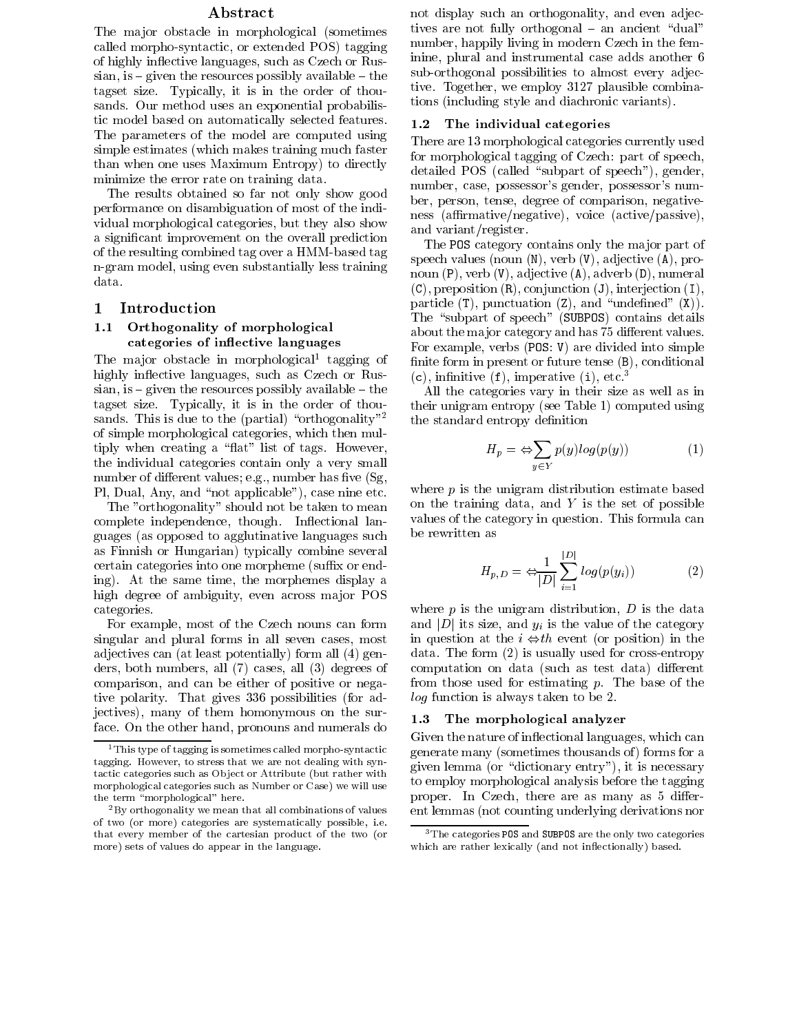### ${\bf Abstract}$

The major obstacle in morphological (sometimes called morpho-syntactic, or extended POS) tagging of highly in
ective languages, such as Czech or Russian, is  $\frac{1}{2}$  given the resources possibly available  $\frac{1}{2}$  the tagset size. Typically, it is in the order of thousands. Our method uses an exponential probabilistic model based on automatically selected features. The parameters of the model are computed using simple estimates (which makes training much faster than when one uses Maximum Entropy) to directly minimize the error rate on training data.

The results obtained so far not only show good performance on disambiguation of most of the individual morphological categories, but they also show a signicant improvement on the overall prediction of the resulting combined tag over a HMM-based tag n-gram model, using even substantially less training data.

## 1 Introduction

### 1.1 Orthogonality of morphological categories of in
ective languages

Ine major obstacle in morphological tagging of the highly inflective languages, such as Czech or Russian, is  $=$  given the resources possibly available  $=$  the tagset size. Typically, it is in the order of thousands. This is due to the (partial) "orthogonality"<sup>2</sup> of simple morphological categories, which then multiply when creating a "flat" list of tags. However, the individual categories contain only a very small number of different values; e.g., number has five  $(Sg, ...)$ Pl, Dual, Any, and "not applicable"), case nine etc.

The "orthogonality" should not be taken to mean complete independence, though. Inflectional languages (as opposed to agglutinative languages such as Finnish or Hungarian) typically combine several certain categories into one morpheme (suffix or ending). At the same time, the morphemes display a high degree of ambiguity, even across major POS categories.

For example, most of the Czech nouns can form singular and plural forms in all seven cases, most adjectives can (at least potentially) form all (4) genders, both numbers, all (7) cases, all (3) degrees of comparison, and can be either of positive or negative polarity. That gives 336 possibilities (for adjectives), many of them homonymous on the surface. On the other hand, pronouns and numerals do not display such an orthogonality, and even adjectives are not fully orthogonal  $-$  an ancient "dual" number, happily living in modern Czech in the feminine, plural and instrumental case adds another 6 sub-orthogonal possibilities to almost every adjective. Together, we employ 3127 plausible combinations (including style and diachronic variants).

#### 1.2The individual categories

There are 13 morphological categories currently used for morphological tagging of Czech: part of speech, detailed POS (called "subpart of speech"), gender, number, case, possessor's gender, possessor's number, person, tense, degree of comparison, negativeness (affirmative/negative), voice (active/passive), and variant/register.

The POS category contains only the major part of speech values (noun (N), verb (V), adjective (A), pronoun (P), verb (V), adjective (A), adverb (D), numeral  $(C)$ , preposition  $(R)$ , conjunction  $(J)$ , interjection  $(I)$ , particle  $(T)$ , punctuation  $(Z)$ , and "undefined"  $(X)$ ). The "subpart of speech" (SUBPOS) contains details about the major category and has 75 different values. For example, verbs (POS: V) are divided into simple finite form in present or future tense  $(B)$ , conditional  $(c)$ , infinitive  $(f)$ , imperative  $(i)$ , etc.<sup>3</sup>

All the categories vary in their size as well as in their unigram entropy (see Table 1) computed using the standard entropy definition

$$
H_p = \Leftrightarrow \sum_{y \in Y} p(y) \log(p(y)) \tag{1}
$$

where  $p$  is the unigram distribution estimate based on the training data, and  $Y$  is the set of possible values of the category in question. This formula can be rewritten as

$$
H_{p,D} = \Leftrightarrow \frac{1}{|D|} \sum_{i=1}^{|D|} log(p(y_i)) \tag{2}
$$

where  $p$  is the unigram distribution,  $D$  is the data and  $|D|$  its size, and  $y_i$  is the value of the category in question at the  $i \Leftrightarrow th$  event (or position) in the data. The form (2) is usually used for cross-entropy computation on data (such as test data) different from those used for estimating  $p$ . The base of the log function is always taken to be 2.

#### 1.3The morphological analyzer

Given the nature of inflectional languages, which can generate many (sometimes thousands of ) forms for a given lemma (or "dictionary entry"), it is necessary to employ morphological analysis before the tagging proper. In Czech, there are as many as 5 different lemmas (not counting underlying derivations nor

 $^1$  This type of tagging is sometimes called morpho-syntactic tagging. However, to stress that we are not dealing with syntagging. However, to stress that we are not dealing with syntactic categories such as Object or Attribute (but rather with morphological categories such as Number or Case) we will use the term "morphological" here.

 $2By$  orthogonality we mean that all combinations of values of two (or more) categories are systematically possible, i.e. that every member of the cartesian product of the two (or more) sets of values do appear in the language.

 $^3\rm$  The categories POS and SUBPOS are the only two categories which are rather lexically (and not inflectionally) based.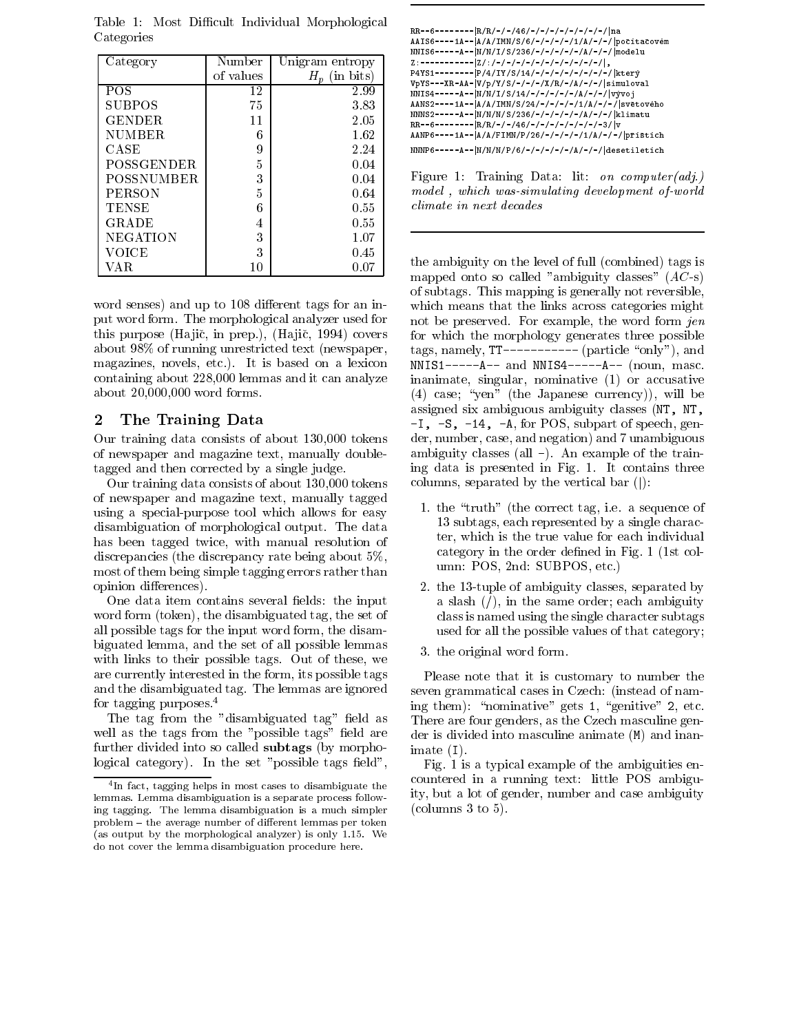| Category          | Number    | Unigram entropy    | NN 1.<br>Z:           |
|-------------------|-----------|--------------------|-----------------------|
|                   | of values | (in bits)<br>$H_n$ | P <sub>4Y</sub>       |
| <b>POS</b>        | 12        | 2.99               | VpY<br>NN I           |
| <b>SUBPOS</b>     | 75        | 3.83               | AAN                   |
| GENDER            | 11        | 2.05               | NNN<br>$RR-$          |
| <b>NUMBER</b>     | 6         | 1.62               | AAN                   |
| CASE              | 9         | 2.24               | NNN                   |
| <b>POSSGENDER</b> | 5         | 0.04               |                       |
| <b>POSSNUMBER</b> | 3         | 0.04               | Fig                   |
| <b>PERSON</b>     | 5         | 0.64               | m <sub>0</sub>        |
| <b>TENSE</b>      | 6         | 0.55               | $_{\mathit{cli}}$     |
| GRADE             | 4         | 0.55               |                       |
| <b>NEGATION</b>   | 3         | 1.07               |                       |
| VOICE             | 3         | 0.45               |                       |
| VA R              | 10        | 0.07               | the<br>m <sub>c</sub> |

Table 1:Most Dicult Individual Morphological Categories

word senses) and up to 108 different tags for an input word form. The morphological analyzer used for this purpose (Hajič, in prep.), (Hajič, 1994) covers about 98% of running unrestricted text (newspaper, magazines, novels, etc.). It is based on a lexicon containing about 228,000 lemmas and it can analyze about 20,000,000 word forms.

### $\bf{2}$ The Training Data

Our training data consists of about 130,000 tokens of newspaper and magazine text, manually doubletagged and then corrected by a single judge.

Our training data consists of about 130,000 tokens of newspaper and magazine text, manually tagged using a special-purpose tool which allows for easy disambiguation of morphological output. The data has been tagged twice, with manual resolution of discrepancies (the discrepancy rate being about 5%, most of them being simple tagging errors rather than opinion differences).

One data item contains several fields: the input word form (token), the disambiguated tag, the set of all possible tags for the input word form, the disambiguated lemma, and the set of all possible lemmas with links to their possible tags. Out of these, we are currently interested in the form, its possible tags and the disambiguated tag. The lemmas are ignored for tagging purposes.4

The tag from the "disambiguated tag" field as well as the tags from the "possible tags" field are further divided into so called subtags (by morphological category). In the set "possible tags field",

AAIS6----1A-- |A/A/IMN/S/6/-/-/-/-/1/A/-/-/|počitačovém<br>NNIS6-----A-- |N/N/I/S/236/-/-/-/-/-/A/-/-/ |modelu  $Z:------|Z/$ :/-/-/-/-/-/-/-/-/-/-/-//, P4YS1--------|P/4/IY/S/14/-/-/-/-/-/-/-/-/|který<br>VpYS---XR-AA-V/p/Y/S/-/-/-/X/R/-/A/-/-/|simuloval VpYS---XR-AA-jV/p/Y/S/-/-/-/X/R/-/A/-/-/jsimuloval NNIS4-----A--jN/N/I/S/14/-/-/-/-/-/A/-/-/jvyvoj AANS2----1A--jA/A/IMN/S/24/-/-/-/-/1/A/-/-/jsvetoveho NNNS2-----A--jN/N/N/S/236/-/-/-/-/-/A/-/-/jklimatu RR--6--------jR/R/-/-/46/-/-/-/-/-/-/-/-3/jv AANP6----1A--jA/A/FIMN/P/26/-/-/-/-/1/A/-/-/jprstch  $NNNP6----A--|N/N/N/P/6/-/-/-/-/A/-/-/$ |desetiletích



the ambiguity on the level of full (combined) tags is mapped onto so called "ambiguity classes"  $(AC-s)$ of subtags. This mapping is generally not reversible, which means that the links across categories might not be preserved. For example, the word form jen for which the morphology generates three possible tags, namely,  $TT------($  particle "only"), and NNIS1-----A-- and NNIS4-----A-- (noun, masc. inanimate, singular, nominative (1) or accusative (4) case; "yen" (the Japanese currency)), will be assigned six ambiguous ambiguity classes (NT, NT, -I, -S, -14, -A, for POS, subpart of speech, gender, number, case, and negation) and 7 unambiguous ambiguity classes (all -). An example of the training data is presented in Fig. 1. It contains three columns, separated by the vertical bar  $(|)$ :

- 1. the "truth" (the correct tag, i.e. a sequence of 13 subtags, each represented by a single character, which is the true value for each individual category in the order defined in Fig. 1 (1st column: POS, 2nd: SUBPOS, etc.)
- 2. the 13-tuple of ambiguity classes, separated by a slash  $($ , in the same order; each ambiguity class is named using the single character subtags used for all the possible values of that category;
- 3. the original word form.

Please note that it is customary to number the seven grammatical cases in Czech: (instead of naming them): "nominative" gets 1, "genitive" 2, etc. There are four genders, as the Czech masculine gender is divided into masculine animate (M) and inanimate (I).

Fig. 1 is a typical example of the ambiguities encountered in a running text: little POS ambiguity, but a lot of gender, number and case ambiguity (columns 3 to 5).

<sup>4</sup> In fact, tagging helps in most cases to disambiguate the lemmas. Lemma disambiguation is a separate process following tagging. The lemma disambiguation is a much simpler problem - the average number of different lemmas per token (as output by the morphological analyzer) is only 1.15. We do not cover the lemma disambiguation procedure here.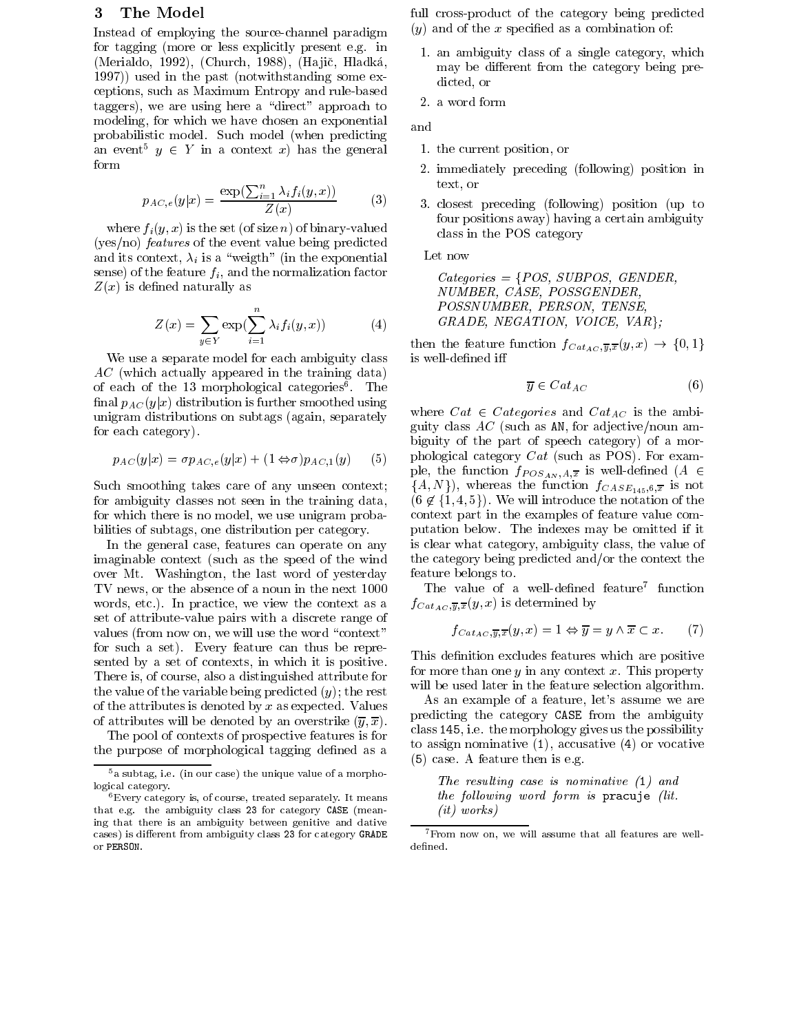# 3 The Model

Instead of employing the source-channel paradigm for tagging (more or less explicitly present e.g. in (Merialdo, 1992), (Church, 1988), (Hajič, Hladká, 1997)) used in the past (notwithstanding some exceptions, such as Maximum Entropy and rule-based taggers), we are using here a "direct" approach to modeling, for which we have chosen an exponential probabilistic model. Such model (when predicting an event  $y \in Y$  in a context  $x$ ) has the general form

$$
p_{AC,e}(y|x) = \frac{\exp(\sum_{i=1}^{n} \lambda_i f_i(y,x))}{Z(x)}
$$
 (3)

where  $f_i(y, x)$  is the set (of size n) of binary-valued (yes/no) features of the event value being predicted and its context,  $\lambda_i$  is a "weigth" (in the exponential sense) of the feature  $f_i$ , and the normalization factor  $Z(x)$  is defined naturally as

$$
Z(x) = \sum_{y \in Y} \exp\left(\sum_{i=1}^{n} \lambda_i f_i(y, x)\right) \tag{4}
$$

We use a separate model for each ambiguity class AC (which actually appeared in the training data) of each of the 15 morphological categories . The final  $p_{AC}(y|x)$  distribution is further smoothed using unigram distributions on subtags (again, separately for each category).

$$
p_{AC}(y|x) = \sigma p_{AC,e}(y|x) + (1 \Leftrightarrow \sigma) p_{AC,1}(y) \qquad (5) \qquad \text{ph}
$$

Such smoothing takes care of any unseen context; for ambiguity classes not seen in the training data, for which there is no model, we use unigram probabilities of subtags, one distribution per category.

In the general case, features can operate on any imaginable context (such as the speed of the wind over Mt. Washington, the last word of yesterday TV news, or the absence of a noun in the next 1000 words, etc.). In practice, we view the context as a set of attribute-value pairs with a discrete range of values (from now on, we will use the word "context" for such a set). Every feature can thus be represented by a set of contexts, in which it is positive. There is, of course, also a distinguished attribute for the value of the variable being predicted  $(y)$ ; the rest of the attributes is denoted by x as expected. Values of attributes will be denoted by an overstrike  $(\overline{y}, \overline{x})$ .

The pool of contexts of prospective features is for the purpose of morphological tagging defined as a

- full cross-product of the category being predicted
- $(y)$  and of the x specified as a combination of:
	- 1. an ambiguity class of a single category, which may be different from the category being predicted, or
	- 2. a word form

- 1. the current position, or
- 2. immediately preceding (following) position in text, or
- (3) 3. closest preceding (following) position (up to four positions away) having a certain ambiguity class in the POS category

Let now

 $Categorical = \{POS, SUBPOS, GENDER,$ NUMBER, CASE, POSSGENDER, POSSNUMBER, PERSON, TENSE,  $GRADE, NEGATION, VOICE, VAR;$ 

then the feature function  $f_{Cat_{AC},\overline{y},\overline{x}}(y,x) \rightarrow \{0,1\}$ is well-defined iff

$$
\overline{y} \in Cat_{AC} \tag{6}
$$

where  $C$  categories and  $C$  categories  $C$ guity class  $AC$  (such as AN, for adjective/noun ambiguity of the part of speech category) of a morphological category  $Cat$  (such as POS). For example, the function  $f_{POS_{AN},A,\overline{x}}$  is well-defined  $(A \in$  $\{A, N\}$ , whereas the function  $f_{CASE_{145},6,\overline{x}}$  is not  $(6 \notin \{1, 4, 5\})$ . We will introduce the notation of the context part in the examples of feature value computation below. The indexes may be omitted if it is clear what category, ambiguity class, the value of the category being predicted and/or the context the feature belongs to.

The value of a well-defined feature function  $f_{Cat_{AC},\overline{y},\overline{x}}(y,x)$  is determined by

$$
f_{Cat_{AC},\overline{y},\overline{x}}(y,x) = 1 \Leftrightarrow \overline{y} = y \wedge \overline{x} \subset x. \tag{7}
$$

This definition excludes features which are positive for more than one y in any context x. This property will be used later in the feature selection algorithm.

As an example of a feature, let's assume we are predicting the category CASE from the ambiguity class 145, i.e. the morphology gives us the possibility to assign nominative  $(1)$ , accusative  $(4)$  or vocative (5) case. A feature then is e.g.

The resulting case is nominative (1) and the following word form is pracuje (lit. (it) works)

 $5a$  subtag, i.e. (in our case) the unique value of a morphological category.

<sup>6</sup>Every category is, of course, treated separately. It means that e.g. the ambiguity class 23 for category CASE (meaning that there is an ambiguity between genitive and dative cases) is different from ambiguity class 23 for category GRADE or PERSON.

 $^7$  From now on, we will assume that all features are welldefined.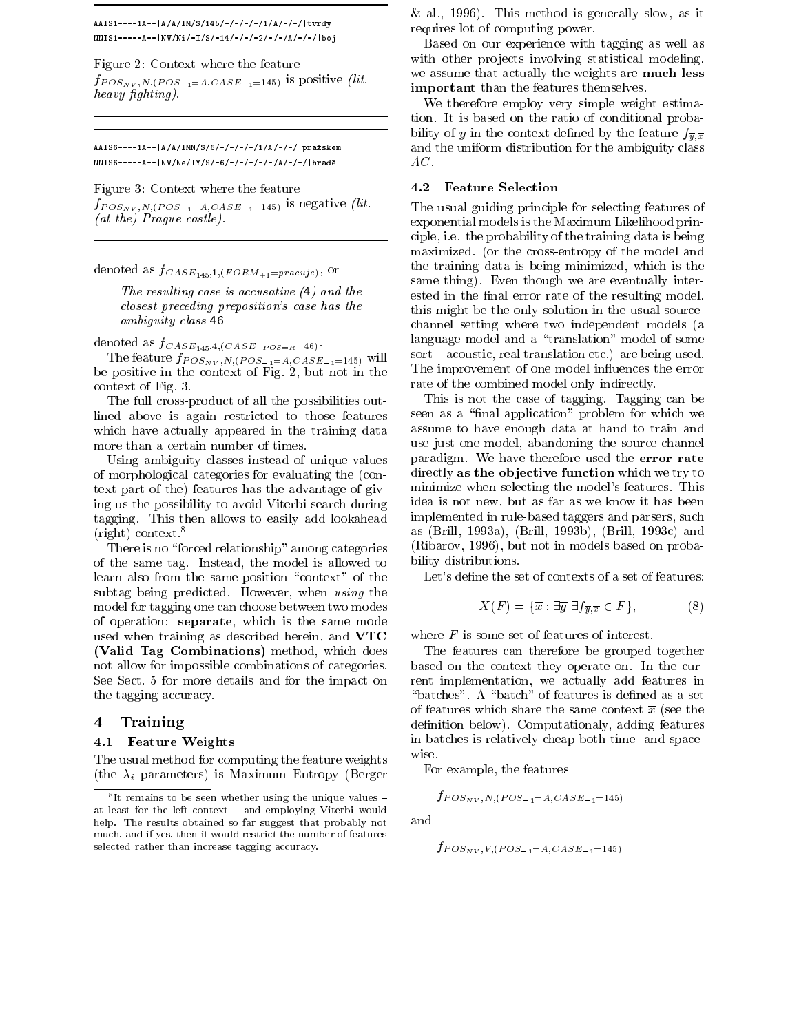AAIS1----1A--|A/A/IM/S/145/-/-/-/-/1/A/-/-/|tvrdy NNIS1-----A--|NV/Ni/-I/S/-14/-/-/-2/-/-/A/-/-/|boj

Figure 2: Context where the feature

 $f_{POS_{\text{NV}},N,(POS_{-1}=A,CASE_{-1}=145)}$  is positive (lit. heavy fighting).

AAIS6----1A--|A/A/IMN/S/6/-/-/-/-/1/A/-/-/|prazskem NNIS6-----A--|NV/Ne/IY/S/-6/-/-/-/-/-/A/-/-/|hrade

Figure 3: Context where the feature

 $f_{POS_{NV},N,(POS_{-1}=A,CASE_{-1}=145)}$  is negative (lit. (at the) Prague castle).

denoted as  $f_{CASE_{145},1,(FORM_{+1}=pracuje)}$ , or

The resulting case is accusative (4) and the closest preceding preposition's case has the ambiguity class 46

denoted as  $f_{CASE_{145},4,(CASE_{-POS=R}=46)}$ .

The feature  $f_{POS_{NV},N,(POS_{-1}=A,CASE_{-1}=145)}$  will be positive in the context of Fig. 2, but not in the context of Fig. 3.

The full cross-product of all the possibilities outlined above is again restricted to those features which have actually appeared in the training data more than a certain number of times.

Using ambiguity classes instead of unique values of morphological categories for evaluating the (context part of the) features has the advantage of giving us the possibility to avoid Viterbi search during tagging. This then allows to easily add lookahead (right) context.<sup>8</sup>

There is no "forced relationship" among categories of the same tag. Instead, the model is allowed to learn also from the same-position "context" of the subtag being predicted. However, when using the model for tagging one can choose between two modes of operation: separate, which is the same mode used when training as described herein, and VTC  $\mathcal{V}$  valid Tag Combinations (which does not do the combination does not do the combination does not do the combination of  $\mathcal{V}$ not allow for impossible combinations of categories. See Sect. 5 for more details and for the impact on the tagging accuracy.

# 4 Training

### 4.1 Feature Weights Weights Weights and the United States of the United States and the United States and Taxable

The usual method for computing the feature weights (the  $\lambda_i$  parameters) is Maximum Entropy (Berger  $&$  al., 1996). This method is generally slow, as it requires lot of computing power.

Based on our experience with tagging as well as with other projects involving statistical modeling, we assume that actually the weights are much less important than the features themselves.

We therefore employ very simple weight estimation. It is based on the ratio of conditional probability of y in the context defined by the feature  $f_{\overline{n},\overline{x}}$ and the uniform distribution for the ambiguity class  $AC.$ 

### 4.2Feature Selection

The usual guiding principle for selecting features of exponential models is the Maximum Likelihood principle, i.e. the probability of the training data is being maximized. (or the cross-entropy of the model and the training data is being minimized, which is the same thing). Even though we are eventually interested in the final error rate of the resulting model, this might be the only solution in the usual sourcechannel setting where two independent models (a language model and a "translation" model of some  $sort$   $=$  acoustic, real translation etc.) are being used. The improvement of one model influences the error rate of the combined model only indirectly.

This is not the case of tagging. Tagging can be seen as a "final application" problem for which we assume to have enough data at hand to train and use just one model, abandoning the source-channel paradigm. We have therefore used the error rate directly as the objective function which we try to minimize when selecting the model's features. This idea is not new, but as far as we know it has been implemented in rule-based taggers and parsers, such as (Brill, 1993a), (Brill, 1993b), (Brill, 1993c) and (Ribarov, 1996), but not in models based on probability distributions.

Let's define the set of contexts of a set of features:

$$
X(F) = \{ \overline{x} : \exists \overline{y} \; \exists f_{\overline{y}, \overline{x}} \in F \},\tag{8}
$$

where  $F$  is some set of features of interest.

The features can therefore be grouped together based on the context they operate on. In the current implementation, we actually add features in "batches". A "batch" of features is defined as a set of features which share the same context  $\bar{x}$  (see the definition below). Computationaly, adding features in batches is relatively cheap both time- and spacewise.

For example, the features

$$
f_{POS_{NV},N,(POS_{-1}=A,CASE_{-1}=145)}
$$

$$
f_{POS_{NV},V,(POS_{-1}=A,CASE_{-1}=145)}
$$

<sup>-</sup> It remains to be seen whether using the unique values = at least for the left context - and employing Viterbi would help. The results obtained so far suggest that probably not much, and if yes, then it would restrict the number of features selected rather than increase tagging accuracy.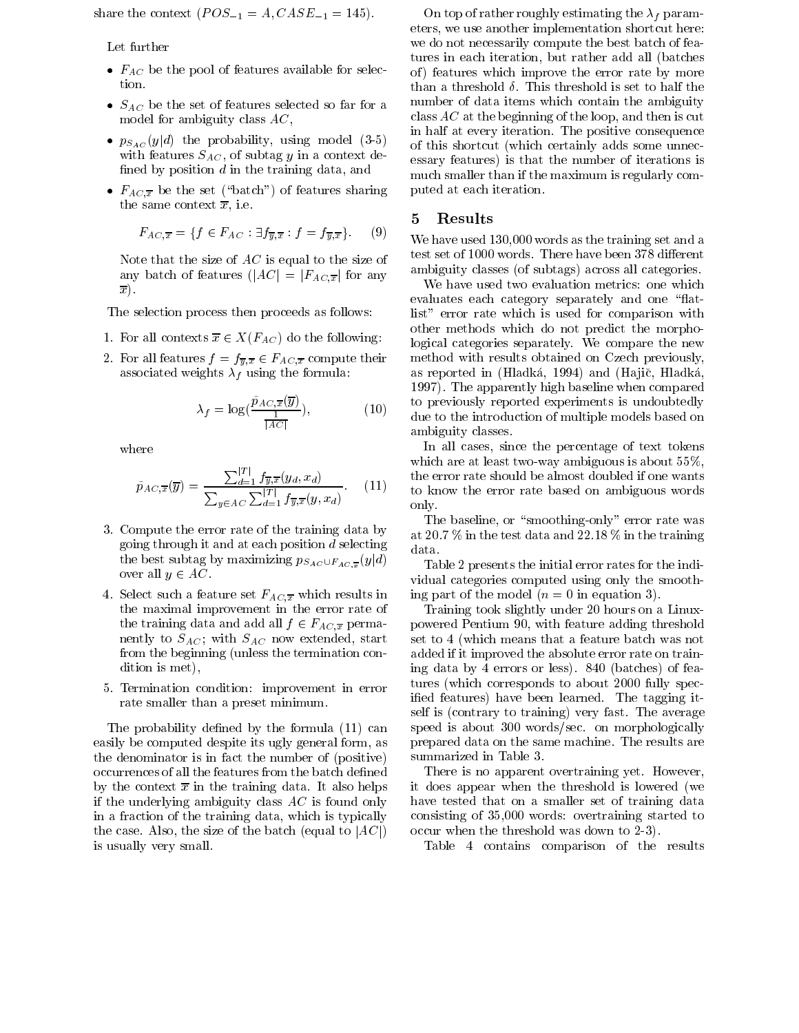share the context  $(POS_{-1} = A, CASE_{-1} = 145)$ .

Let further

- $F_{AC}$  be the pool of features available for selection.
- $S_{AC}$  be the set of features selected so far for a model for ambiguity class AC,
- $p_{S_{AC}}(y|d)$  the probability, using model (3-5) with features  $S_{AC}$ , of subtag y in a context defined by position  $d$  in the training data, and
- $F_{AC,\overline{x}}$  be the set ("batch") of features sharing the same context  $\overline{x}$ , i.e.

$$
F_{AC,\overline{x}} = \{ f \in F_{AC} : \exists f_{\overline{y},\overline{x}} : f = f_{\overline{y},\overline{x}} \}. (9) \quad \text{W}
$$

Note that the size of  $AC$  is equal to the size of any batch of features  $(|AC| = |F_{AC,\overline{x}}|$  for any  $\overline{x}$ ).

The selection process then proceeds as follows:

- 1. For all contexts  $\overline{x} \in X(F_{AC})$  do the following:
- 2. For all features  $f = f_{\overline{y},\overline{x}} \in F_{AC,\overline{x}}$  compute their associated weights  $\lambda_f$  using the formula:

$$
\lambda_f = \log(\frac{\tilde{p}_{AC,\overline{x}}(\overline{y})}{\frac{1}{|AC|}}),\tag{10}
$$

where

$$
\tilde{p}_{AC,\overline{x}}(\overline{y}) = \frac{\sum_{d=1}^{|T|} f_{\overline{y},\overline{x}}(y_d, x_d)}{\sum_{y \in AC} \sum_{d=1}^{|T|} f_{\overline{y},\overline{x}}(y, x_d)}.
$$
 (11)

- 3. Compute the error rate of the training data by going through it and at each position  $d$  selecting  $t \mapsto$  best subtangled by maximizing psacho p $A \cup T \cup A \cup T \cup T$ over all  $y \in AC$ .
- 4. Select such a feature set  $F_{AC,\overline{x}}$  which results in the maximal improvement in the error rate of the training data and add all  $f \in F_{AC,\overline{x}}$  permanently to  $S_{AC}$ ; with  $S_{AC}$  now extended, start from the beginning (unless the termination condition is met),
- 5. Termination condition: improvement in error rate smaller than a preset minimum.

The probability defined by the formula (11) can easily be computed despite its ugly general form, as the denominator is in fact the number of (positive) occurrences of all the features from the batch defined by the context  $\bar{x}$  in the training data. It also helps if the underlying ambiguity class  $AC$  is found only in a fraction of the training data, which is typically the case. Also, the size of the batch (equal to  $|AC|$ ) is usually very small.

On top of rather roughly estimating the  $\lambda_f$  parameters, we use another implementation shortcut here: we do not necessarily compute the best batch of features in each iteration, but rather add all (batches of) features which improve the error rate by more than a threshold  $\delta$ . This threshold is set to half the number of data items which contain the ambiguity class  $AC$  at the beginning of the loop, and then is cut in half at every iteration. The positive consequence of this shortcut (which certainly adds some unnecessary features) is that the number of iterations is much smaller than if the maximum is regularly computed at each iteration.

### 5 Results

We have used 130,000 words as the training set and a test set of 1000 words. There have been 378 different ambiguity classes (of subtags) across all categories.

 $\zeta$ , the introduction of multiple models based on  $\zeta$ We have used two evaluation metrics: one which evaluates each category separately and one "flatlist" error rate which is used for comparison with other methods which do not predict the morphological categories separately. We compare the new method with results obtained on Czech previously, as reported in (Hladká, 1994) and (Hajič, Hladká, 1997). The apparently high baseline when compared to previously reported experiments is undoubtedly ambiguity classes.

 $\sim$   $\prime$  to know the error rate based on ambiguous words In all cases, since the percentage of text tokens which are at least two-way ambiguous is about 55%, the error rate should be almost doubled if one wants only.

> The baseline, or "smoothing-only" error rate was at 20.7 % in the test data and 22.18 % in the training data.

> Table 2 presents the initial error rates for the individual categories computed using only the smoothing part of the model  $(n = 0$  in equation 3).

> Training took slightly under 20 hours on a Linuxpowered Pentium 90, with feature adding threshold set to 4 (which means that a feature batch was not added if it improved the absolute error rate on training data by 4 errors or less). 840 (batches) of features (which corresponds to about 2000 fully specied features) have been learned. The tagging itself is (contrary to training) very fast. The average speed is about 300 words/sec. on morphologically prepared data on the same machine. The results are summarized in Table 3.

> There is no apparent overtraining yet. However, it does appear when the threshold is lowered (we have tested that on a smaller set of training data consisting of 35,000 words: overtraining started to occur when the threshold was down to 2-3).

Table 4 contains comparison of the results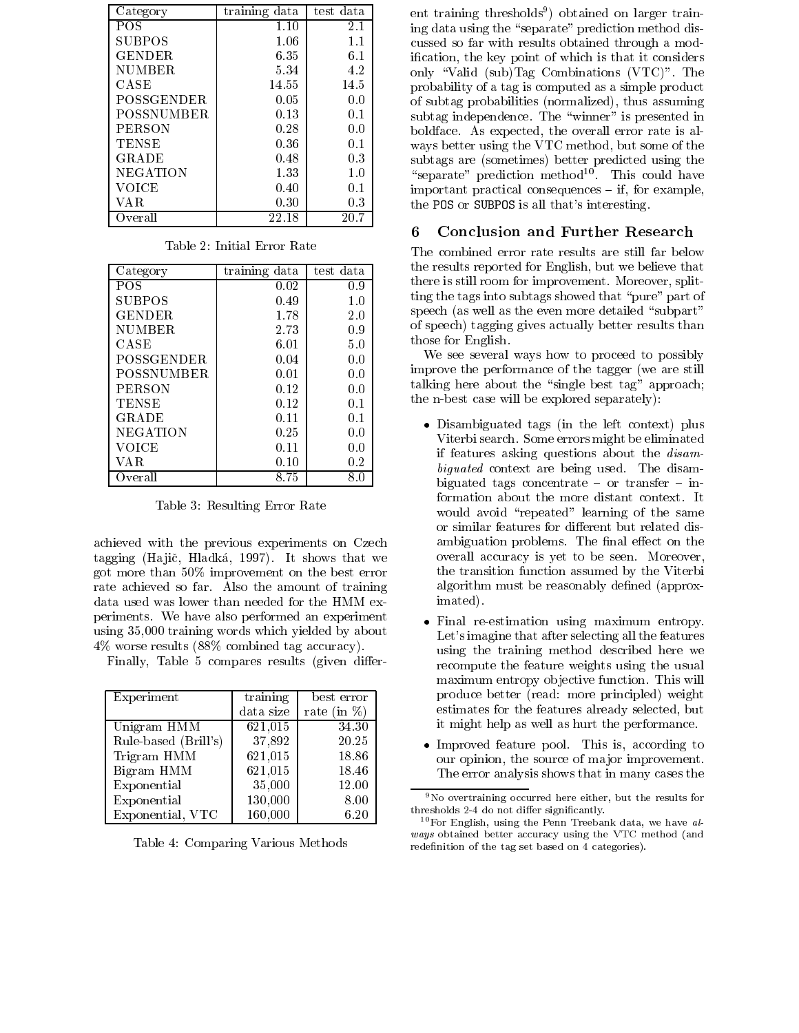| Category          | training data | test data |  |
|-------------------|---------------|-----------|--|
| POS               | 1.10          | 2.1       |  |
| <b>SUBPOS</b>     | 1.06          | 1.1       |  |
| <b>GENDER</b>     | 6.35          | 6.1       |  |
| <b>NUMBER</b>     | 5.34          | 4.2       |  |
| CASE              | 14.55         | 14.5      |  |
| POSSGENDER        | 0.05          | 0.0       |  |
| <b>POSSNUMBER</b> | 0.13          | 0.1       |  |
| <b>PERSON</b>     | 0.28          | 0.0       |  |
| <b>TENSE</b>      | 0.36          | 0.1       |  |
| GRADE             | 0.48          | 0.3       |  |
| NEGATION          | 1.33          | 1.0       |  |
| VOICE             | 0.40          | 0.1       |  |
| VA R              | 0.30          | 0.3       |  |
| Overall           | 22.18         | 20.7      |  |

| Category          | training data | test data |  |
|-------------------|---------------|-----------|--|
| <b>POS</b>        | 0.02          | 0.9       |  |
| <b>SUBPOS</b>     | 0.49          | 1.0       |  |
| GENDER            | 1.78          | 2.0       |  |
| <b>NUMBER</b>     | 2.73          | 0.9       |  |
| CASE              | 6.01          | 5.0       |  |
| <b>POSSGENDER</b> | 0.04          | 0.0       |  |
| <b>POSSNUMBER</b> | 0.01          | 0.0       |  |
| <b>PERSON</b>     | 0.12          | 0.0       |  |
| <b>TENSE</b>      | 0.12          | 0.1       |  |
| GRADE             | 0.11          | 0.1       |  |
| <b>NEGATION</b>   | 0.25          | 0.0       |  |
| <b>VOICE</b>      | 0.11          | 0.0       |  |
| VA R              | 0.10          | 0.2       |  |
| Overall           | 8.75          | 8.0       |  |

Table 3: Resulting Error Rate

achieved with the previous experiments on Czech tagging (Hajič, Hladká, 1997). It shows that we got more than 50% improvement on the best error rate achieved so far. Also the amount of training data used was lower than needed for the HMM experiments. We have also performed an experiment  $\bullet$  Final re-estimation using maximum entropy. using 35,000 training words which yielded by about 4% worse results (88% combined tag accuracy).

Finally, Table 5 compares results (given differ-

| Experiment           | training  | best error      |       |
|----------------------|-----------|-----------------|-------|
|                      | data size | rate (in $\%$ ) |       |
| Unigram HMM          | 621,015   | 34.30           |       |
| Rule-based (Brill's) | 37,892    | 20.25           |       |
| Trigram HMM          | 621,015   | 18.86           |       |
| Bigram HMM           | 621,015   | 18.46           |       |
| Exponential          | 35,000    | 12.00           |       |
| Exponential          | 130,000   | 8.00            |       |
| Exponential, VTC     | 160,000   | 6.20            | $t$ . |

Table 4: Comparing Various Methods

ent training thresholds9 ) obtained on larger training data using the "separate" prediction method discussed so far with results obtained through a modication, the key point of which is that it considers only \Valid (sub)Tag Combinations (VTC)". The probability of a tag is computed as a simple product of subtag probabilities (normalized), thus assuming subtag independence. The "winner" is presented in boldface. As expected, the overall error rate is al ways better using the VTC method, but some of the subtags are (sometimes) better predicted using the  $\;$  separate  $\;$  prediction method $^{11}$ . This could have important practical consequences  $=$  if, for example, the POS or SUBPOS is all that's interesting.

#### 6 Conclusion and Further Research 6

The combined error rate results are still far below the results reported for English, but we believe that there is still room for improvement. Moreover, splitting the tags into subtags showed that "pure" part of speech (as well as the even more detailed "subpart" of speech) tagging gives actually better results than those for English.

We see several ways how to proceed to possibly improve the performance of the tagger (we are still talking here about the "single best tag" approach; the n-best case will be explored separately):

- Disambiguated tags (in the left context) plus Viterbi search. Some errors might be eliminated if features asking questions about the disambiguated context are being used. The disambiguated tags concentrate  $-$  or transfer  $-$  information about the more distant context. It would avoid "repeated" learning of the same or similar features for different but related disambiguation problems. The final effect on the overall accuracy is yet to be seen. Moreover, the transition function assumed by the Viterbi algorithm must be reasonably defined (approximated).
- Let's imagine that after selecting all the features using the training method described here we recompute the feature weights using the usual maximum entropy objective function. This will produce better (read: more principled) weight estimates for the features already selected, but it might help as well as hurt the performance.
- Improved feature pool. This is, according to our opinion, the source of major improvement. The error analysis shows that in many cases the

<sup>9</sup>No overtraining occurred here either, but the results for thresholds 2-4 do not differ significantly.

 $10$  For English, using the Penn Treebank data, we have always obtained better accuracy using the VTC method (and redenition of the tag set based on 4 categories).